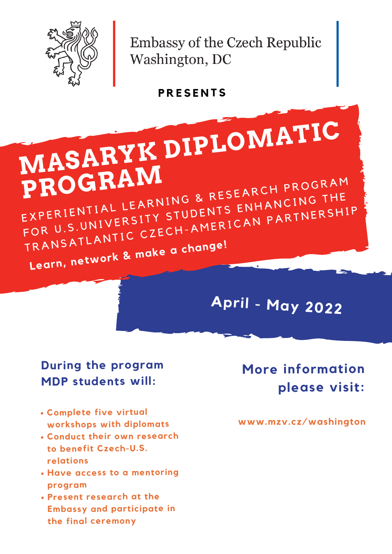

Embassy of the Czech Republic Washington, DC

#### **During the program MDP students will:**

- **Complete five virtual workshops with diplomats**
- **Conduct their own research to benefit Czech-U.S. relations**
- **Have access to <sup>a</sup> mentoring program**
- **Present research at the Embassy and participate in the final ceremony**

#### **www.mzv.cz/washington**

### **More information please visit:**

**P R E S E N T S**

**MASARYK DIPLOMATIC PROGRA<sup>M</sup>** PROGRAM EXPERIENTIAL LEARNING & RESEANCING THE EXPERIENTIAL LL'III STUDENTS ENTILIE THERSHIP<br>FOR U.S.UNIVERSITY STUDENTS ENTILIP<br>TRANSATLANTIC CZECH-AMERICAN PARTNERSHIP **Learn, network & make <sup>a</sup> change!**

## **April - May <sup>2022</sup>**